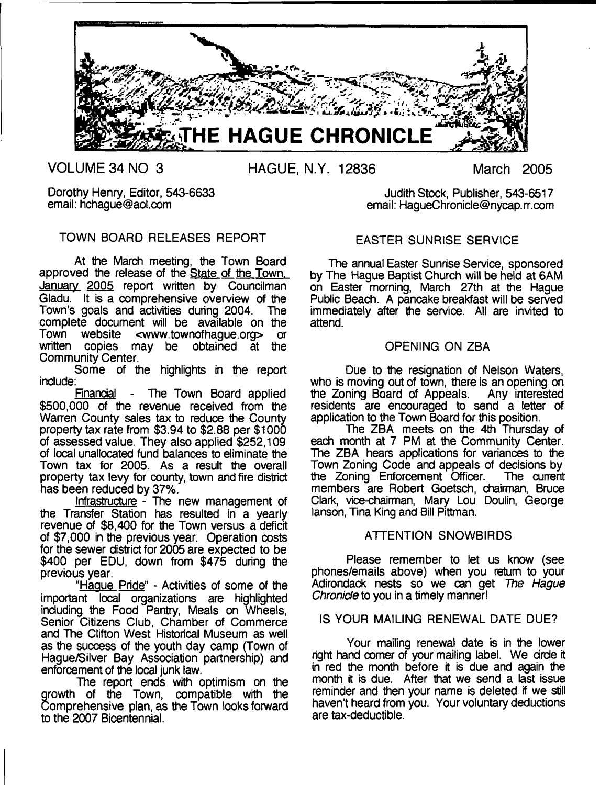

**VOLUME 34 NO 3 HAGUE, N.Y. 12836 March 2005**

Dorothy Henry, Editor, 543-6633 email: [hchague@aol.com](mailto:hchague@aol.com)

# TOWN BOARD RELEASES REPORT

At the March meeting, the Town Board approved the release of the State of the Town. January 2005 report written by Councilman Gladu. It is a comprehensive overview of the Town's goals and activities during 2004. The complete document will be available on the<br>Town website <www.townofhaque.org> or Town website <[www.townofhague.org](http://www.townofhague.org)> or<br>written copies may be obtained at the may be obtained at the Community Center.

Some of the highlights in the report include:

Financial - The Town Board applied \$500,000 of the revenue received from the Warren County sales tax to reduce the County property tax rate from \$3.94 to \$2.88 per \$1000 of assessed value. They also applied \$252,109 of local unallocated fund balances to eliminate the Town tax for 2005. As a result the overall property tax levy for county, town and fire district has been reduced by 37%.

Infrastructure - The new management of the Transfer Station has resulted in a yearly revenue of \$8,400 for the Town versus a deficit of \$7,000 in the previous year. Operation costs for the sewer district for 2005 are expected to be \$400 per EDU, down from \$475 during the previous year.

"Hague Pride" - Activities of some of the important local organizations are highlighted including the Food Pantry, Meals on Wheels, Senior Citizens Club, Chamber of Commerce and The Clifton West Historical Museum as well as the success of the youth day camp (Town of Hague/Silver Bay Association partnership) and enforcement of the local junk law.

The report ends with optimism on the growth of the Town, compatible with the Comprehensive plan, as the Town looks forward to the 2007 Bicentennial.

Judith Stock, Publisher, 543-6517 email: [HagueChronicle@nycap.rr.com](mailto:HagueChronicle@nycap.rr.com)

# EASTER SUNRISE SERVICE

The annual Easter Sunrise Service, sponsored by The Hague Baptist Church will be held at 6AM on Easter morning, March 27th at the Hague Public Beach. A pancake breakfast will be served immediately after the service. All are invited to attend.

# OPENING ON ZBA

Due to the resignation of Nelson Waters, who is moving out of town, there is an opening on the Zoning Board of Appeals. Any interested the Zoning Board of Appeals. residents are encouraged to send a letter of application to the Town Board for this position.

The ZBA meets on the 4th Thursday of each month at 7 PM at the Community Center. The ZBA hears applications for variances to the Town Zoning Code and appeals of decisions by the Zoning Enforcement Officer. The current members are Robert Goetsch, chairman, Bruce Clark, vice-chairman, Mary Lou Doulin, George lanson, Tina King and Bill Pittman.

# ATTENTION SNOWBIRDS

Please remember to let us know (see phones/emails above) when you return to your Adirondack nests so we can get *The Hague Chronicle* to you in a timely manner!

# IS YOUR MAILING RENEWAL DATE DUE?

Your mailing renewal date is in the lower right hand oomer of your mailing label. We drde it in red the month before it is due and again the month it is due. After that we send a last issue reminder and then your name is deleted if we still haven't heard from you. Your voluntary deductions are tax-deductible.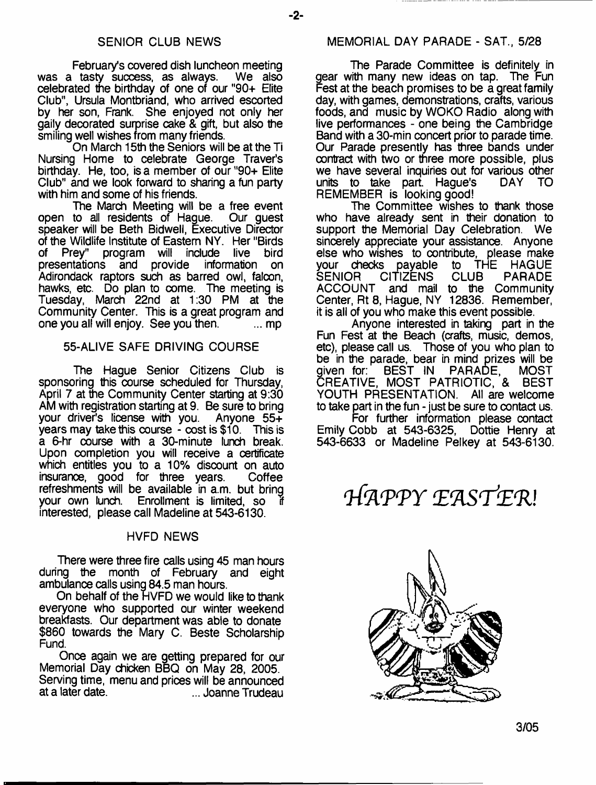#### SENIOR CLUB NEWS

February's covered dish luncheon meeting was a tasty success, as always. celebrated the birthday of one of our "90+ Elite Club", Ursula Montbriand, who arrived escorted by her son, Frank. She enjoyed not only her gaily decorated surprise cake & gift, but also the smiling well wishes from many friends.

On March 15th the Seniors will be at the Ti Nursing Home to celebrate George Traver's birthday. He, too, is a member of our "90+ Elite Club" and we look forward to sharing a fun party with him and some of his friends.

The March Meeting will be a free event open to all residents of Hague. Our guest speaker will be Beth Bidwell, Executive Director of the Wildlife Institute of Eastern NY. Her "Birds of Prey" program will include live bird<br>presentations and provide information on presentations and provide Adirondack raptors such as barred owi, falcon, hawks, etc. Do plan to come. The meeting is Tuesday, March 22nd at 1:30 PM at the Community Center. This is a great program and one you all will enjoy. See you then. **Example** 1. mp

# 55-ALIVE SAFE DRIVING COURSE

The Hague Senior Citizens Club is sponsoring this course scheduled for Thursday, April 7 at the Community Center starting at 9:30 AM with registration starting at 9. Be sure to bring your driver's license with you. Anyone 55+ years may take this course - cost is \$10. This is a 6-hr course with a 30-minute lunch break. Upon completion you will receive a certificate which entitles you to a 10% discount on auto insurance, good for three years. Coffee refreshments will be available in a.m. but bring your own lunch. Enrollment is limited, so interested, please call Madeline at 543-6130.

#### HVFD NEWS

There were three fire calls using 45 man hours during the month of February and eight ambulance calls using 84.5 man hours.

On behalf of the HVFD we would like to thank everyone who supported our winter weekend breakfasts. Our department was able to donate \$860 towards the Mary C. Beste Scholarship Fund.

Once again we are getting prepared for our Memorial Day chicken BBQ on May 28, 2005. Serving time, menu and prices will be announced ... Joanne Trudeau

#### MEMORIAL DAY PARADE - SAT., 5/28

The Parade Committee is definitely in gear with many new ideas on tap. The Fun Fest at the beach promises to be a great family day, with games, demonstrations, crafts, various foods, and music by WOKO Radio along with live performances - one being the Cambridge Band with a 30-min concert prior to parade time. Our Parade presently has three bands under contract with two or three more possible, plus we have several inquiries out for various other<br>units to take part. Haque's DAY TO units to take part. Hague's REMEMBER is looking good!

The Committee wishes to thank those who have already sent in their donation to support the Memorial Day Celebration. We sincerely appreciate your assistance. Anyone else who wishes to contribute, please make<br>your checks payable to THE HAGUE your checks payable to The SENIOR CITIZENS CLUB SENIOR CITIZENS CLUB PARADE<br>ACCOUNT and mail to the Community and mail to the Community Center, Rt 8, Hague, NY 12836. Remember, it is all of you who make this event possible.

Anyone interested in taking part in the Fun Fest at the Beach (crafts, music, demos, etc), please call us. Those of you who plan to be in the parade, bear in mind prizes will be given for: BEST IN PARADE, MOST CREATIVE, MOST PATRIOTIC, & BEST YOUTH PRESENTATION. All are welcome to take part in the fun - just be sure to contact us.

For further information please contact Emily Cobb at 543-6325, Dottie Henry at 543-6633 or Madeline Pelkey at 543-6130.

*HAPPY* EASTER!

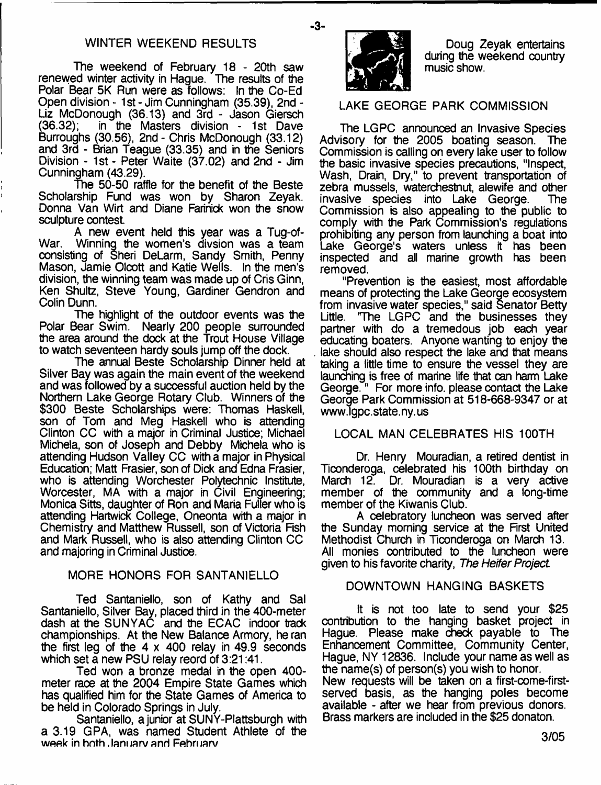# WINTER WEEKEND RESULTS

The weekend of February 18 - 20th saw renewed winter activity in Hague. The results of the Polar Bear 5K Run were as follows: In the Co-Ed Open division - 1st - Jim Cunningham (35.39), 2nd - Liz McDonough (36.13) and 3rd - Jason Giersch<br>(36.32): in the Masters division - 1st Dave in the Masters division - 1st Dave Burroughs (30.56), 2nd - Chris McDonough (33.12) and 3rd - Brian Teague (33.35) and in the Seniors Division - 1st - Peter Waite (37.02) and 2nd - Jim Cunningham (43.29).

The 50-50 raffle for the benefit of the Beste Scholarship Fund was won by Sharon Zeyak. Donna Van Wirt and Diane Farinick won the snow sculpture contest.

A new event held this year was a Tug-of-War. Winning the women's divsion was a team consisting of Sheri DeLarm, Sandy Smith, Penny Mason, Jamie Olcott and Katie Wells. In the men's division, the winning team was made up of Cris Ginn, Ken Shultz, Steve Young, Gardiner Gendron and Colin Dunn.

The highlight of the outdoor events was the Polar Bear Swim. Nearly 200 people surrounded the area around the dock at the Trout House Village to watch seventeen hardy souls jump off the dock.

The annual Beste Scholarship Dinner held at Silver Bay was again the main event of the weekend and was followed by a successful auction held by the Northern Lake George Rotary Club. Winners of the \$300 Beste Scholarships were: Thomas Haskell, son of Tom and Meg Haskell who is attending Clinton CC with a major in Criminal Justice; Michael Michela, son of Joseph and Debby Michela who is attending Hudson Valley CC with a major in Physical Education; Matt Frasier, son of Dick and Edna Frasier, who is attending Worchester Polytechnic Institute, Worcester, MA with a major in Civil Engineering; Monica Sitts, daughter of Ron and Maria Fuifer who is attending Hartwick College, Oneonta with a major in Chemistry and Matthew Russell, son of Victoria Fish and Mark Russell, who is also attending Clinton CC and majoring in Criminal Justice.

# MORE HONORS FOR SANTANIELLO

Ted Santaniello, son of Kathy and Sal Santaniello, Silver Bay, placed third in the 400-meter dash at the SUNYAC and the ECAC indoor track championships. At the New Balance Armory, he ran the first leg of the 4 x 400 relay in 49.9 seconds which set a new PSU relay reord of 3:21:41.

Ted won a bronze medal in the open 400 meter race at the 2004 Empire State Games which has qualified him for the State Games of America to be held in Colorado Springs in July.

Santaniello, a junior at SUNY-Plattsburgh with a 3.19 GPA, was named Student Athlete of the week in hoth January and February



-3-

Doug Zeyak entertains during the weekend country music show.

# LAKE GEORGE PARK COMMISSION

The LGPC announced an Invasive Species Advisory for the 2005 boating season. The Commission is calling on every lake user to follow the basic invasive species precautions, "Inspect, Wash, Drain, Dry," to prevent transportation of zebra mussels, waterchestnut, alewife and other<br>invasive species into Lake George. The invasive species into Lake George. Commission is also appealing to the public to comply with the Park Commission's regulations prohibiting any person from launching a boat into Lake George's waters unless it has been inspected and all marine growth has been removed.

"Prevention is the easiest, most affordable means of protecting the Lake George ecosystem from invasive water species," said Senator Betty "The LGPC and the businesses they partner with do a tremedous job each year educating boaters. Anyone wanting to enjoy the lake should also respect the lake and that means taking a little time to ensure the vessel they are launching is free of marine life that can harm Lake George." For more info, please contact the Lake George Park Commission at 518-668-9347 or at www Jgpc. state. ny. us

# LOCAL MAN CELEBRATES HIS 100TH

Dr. Henry Mouradian, a retired dentist in Ticonderoga, celebrated his 100th birthday on March 12. Dr. Mouradian is a very active member of the community and a long-time member of the Kiwanis Club.

A celebratory luncheon was served after the Sunday morning service at the First United Methodist Church in Ticonderoga on March 13. All monies contributed to the luncheon were given to his favorite charity, *The Heifer Project*

## DOWNTOWN HANGING BASKETS

It is not too late to send your \$25 contribution to the hanging basket project in Hague. Please make check payable to The Enhancement Committee, Community Center, Hague, NY 12836. Include your name as well as the name(s) of person(s) you wish to honor. New requests will be taken on a first-come-firstserved basis, as the hanging poles become available - after we hear from previous donors. Brass markers are included in the \$25 donaton.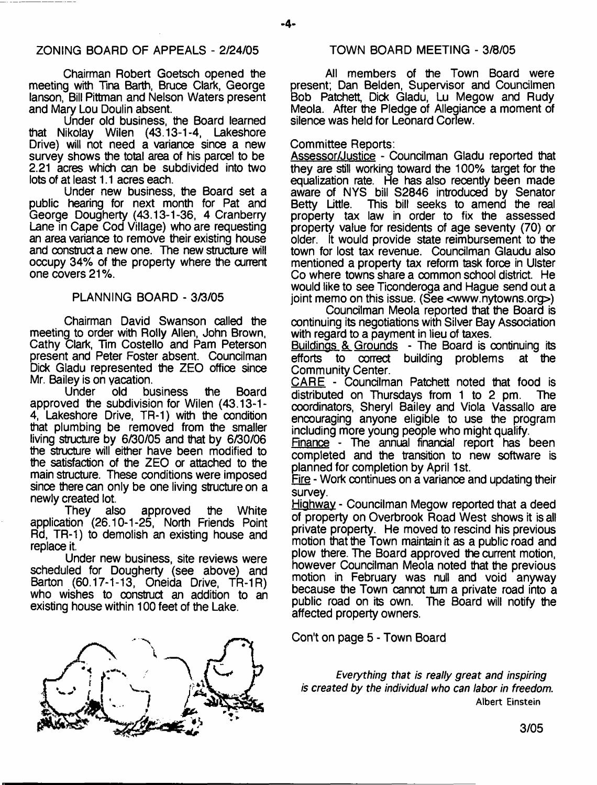## 20NING BOARD OF APPEALS - 2/24/05 TOWN BOARD MEETING - 3/8/05

Chairman Robert Goetsch opened the meeting with Tina Barth, Bruce Clark, George lanson, Bill Pittman and Nelson Waters present and Mary Lou Doulin absent.

Under old business, the Board learned that Nikolay Wilen (43.13-1-4, Lakeshore Drive) will not need a variance since a new survey shows the total area of his parcel to be 2.21 acres which can be subdivided into two lots of at least 1.1 acres each.

Under new business, the Board set a public hearing for next month for Pat and George Dougherty (43.13-1-36, 4 Cranberry Lane in Cape Cod Village) who are requesting an area variance to remove their existing house and construct a new one. The new structure will occupy 34% of the property where the current one covers 21%.

## PLANNING BOARD - 3/3/05

Chairman David Swanson called the meeting to order with Roily Allen, John Brown, Cathy Clark, Tim Costello and Pam Peterson present and Peter Foster absent. Councilman Dick Gladu represented the ZEO office since Mr. Bailey is on vacation.

Under old business the Board approved the subdivision for Wilen (43.13-1- 4, Lakeshore Drive, TR-1) with the condition that plumbing be removed from the smaller living structure by 6/30/05 and that by 6/30/06 the structure will either have been modified to the satisfaction of the ZEO or attached to the main structure. These conditions were imposed since there can only be one living structure on a newly created lot.

They also approved the White application (26.10-1-25, North Friends Point Rd, TR-1) to demolish an existing house and replace it.

Under new business, site reviews were scheduled for Dougherty (see above) and Barton (60.17-1-13, Oneida Drive, TR-1R) who wishes to construct an addition to an existing house within 100 feet of the Lake.



All members of the Town Board were present; Dan Belden, Supervisor and Councilmen Bob Patchett, Dick Gladu, Lu Megow and Rudy Meola. After the Pledge of Allegiance a moment of silence was held for Leonard Corlew.

#### Committee Reports:

Assessor/Justice - Councilman Gladu reported that they are still working toward the 100% target for the equalization rate. He has also recently been made aware of NYS bill S2846 introduced by Senator Betty Little. This bill seeks to amend the real property tax law in order to fix the assessed property value for residents of age seventy (70) or older. It would provide state reimbursement to the town for lost tax revenue. Councilman Glaudu also mentioned a property tax reform task force in Ulster Co where towns share a common school district. He would like to see Ticonderoga and Hague send out a joint memo on this issue. (See  $\leq$ [www.nytowns.org](http://www.nytowns.org) >)

Councilman Meola reported that the Board is continuing its negotiations with Silver Bay Association with regard to a payment in lieu of taxes.

Buildings & Grounds - The Board is continuing its efforts to correct building problems at the Community Center.

CARE - Councilman Patchett noted that food is distributed on Thursdays from 1 to 2 pm. The coordinators, Sheryl Bailey and Viola Vassallo are encouraging anyone eligible to use the program including more young people who might qualify.

Finance - The annual financial report has been completed and the transition to new software is planned for completion by April 1st.

Fire - Work continues on a variance and updating their survey.

Highway - Councilman Megow reported that a deed of property on Overbrook Road West shows it is all private property. He moved to rescind his previous motion that the Town maintain it as a public road and plow there. The Board approved the current motion, however Councilman Meola noted that the previous motion in February was null and void anyway because the Town cannot turn a private road into a public road on its own. The Board will notify the affected property owners.

Con't on page 5 - Town Board

*Everything that is really great and inspiring is created by the individual who can labor in freedom.* **Albert Einstein**

-4-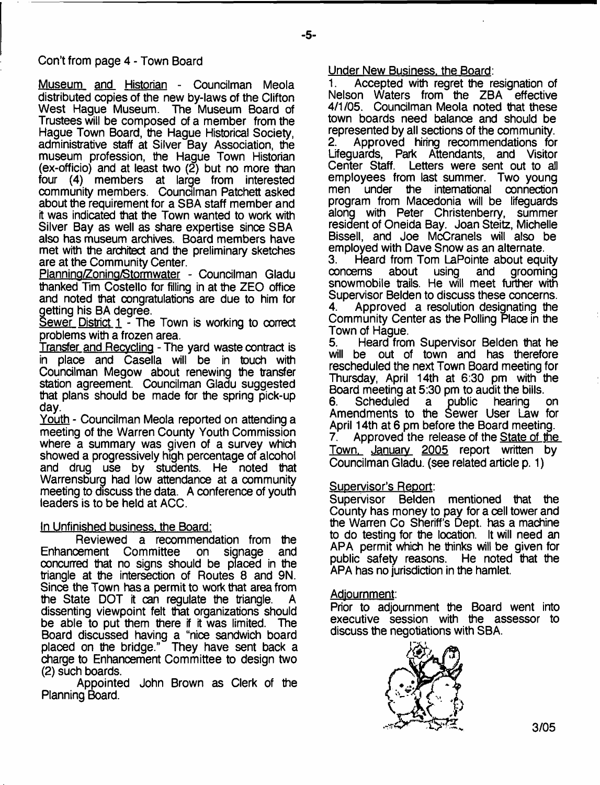Con't from page 4 - Town Board

Museum and Historian - Councilman Meola distributed copies of the new by-laws of the Clifton West Hague Museum. The Museum Board of Trustees will be composed of a member from the Hague Town Board, the Hague Historical Society, administrative staff at Silver Bay Association, the museum profession, the Hague Town Historian (ex-officio) and at least two  $(2)$  but no more than four  $(4)$  members at large from interested (4) members at large from interested community members. Councilman Patchett asked about the requirement for a SBA staff member and it was indicated that the Town wanted to work with Silver Bay as well as share expertise since SBA also has museum archives. Board members have met with the architect and the preliminary sketches are at the Community Center.

Plannina/Zonina/Stormwater - Councilman Gladu thanked Tim Costello for filling in at the ZEO office and noted that congratulations are due to him for getting his BA degree.

Sewer District  $1 -$  The Town is working to correct problems with a frozen area.

Transfer and Recycling - The yard waste contract is in place and Casella will be in touch with Councilman Megow about renewing the transfer station agreement. Councilman Gladu suggested that plans should be made for the spring pick-up day.

Youth - Councilman Meola reported on attending a meeting of the Warren County Youth Commission where a summary was given of a survey which showed a progressively high percentage of alcohol and drug use by students. He noted that Warrensburg had low attendance at a community meeting to discuss the data. A conference of youth leaders is to be held at ACC.

# In Unfinished business, the Board:

Reviewed a recommendation from the<br>cement Committee on signage and Enhancement Committee on signage concurred that no signs should be placed in the triangle at the intersection of Routes 8 and 9N. Since the Town has a permit to work that area from the State DOT it can regulate the triangle. dissenting viewpoint felt that organizations should be able to put them there if it was limited. The Board discussed having a "nice sandwich board placed on the bridge." They have sent back a charge to Enhancement Committee to design two (2) such boards.

Appointed John Brown as Clerk of the Planning Board.

Under New Business, the Board:

1. Accepted with regret the resignation of Nelson Waters from the ZBA effective 4/1/05. Councilman Meola noted that these town boards need balance and should be represented by all sections of the community.<br>2. Approved hiring recommendations for 2. Approved hiring recommendations for Lifeguards, Park Attendants, and Visitor Center Staff. Letters were sent out to all employees from last summer. Two young<br>men under the international connection under the international connection program from Macedonia will be lifeguards along with Peter Christenberry, summer resident of Oneida Bay. Joan Steitz, Michelle Bissell, and Joe McCranels will also be employed with Dave Snow as an alternate.

3. Heard from Tom LaPointe about equity<br>concems about using and grooming arooming snowmobile trails. He will meet further with Supervisor Belden to discuss these concerns. 4. Approved a resolution designating the Community Center as the Polling Place in the

Town of Hague.<br>5 Heard from 5. Heard from Supervisor Belden that he will be out of town and has therefore rescheduled the next Town Board meeting for Thursday, April 14th at 6:30 pm with the Board meeting at 5:30 pm to audit the bills.

6. Scheduled a public hearing on Amendments to the Sewer User Law for April 14th at 6 pm before the Board meeting. 7. Approved the release of the State of the Town. January 2005 report written by Councilman Gladu. (see related article p. 1)

# Supervisor's Report:

Supervisor Belden mentioned that the County has money to pay for a cell tower and the Warren Co Sheriff's Dept, has a machine to do testing for the location. It will need an APA permit which he thinks will be given for<br>public safety reasons. He noted that the public safety reasons. APA has no jurisdiction in the hamlet.

# Adjournment:

Prior to adjournment the Board went into executive session with the assessor to discuss the negotiations with SBA.

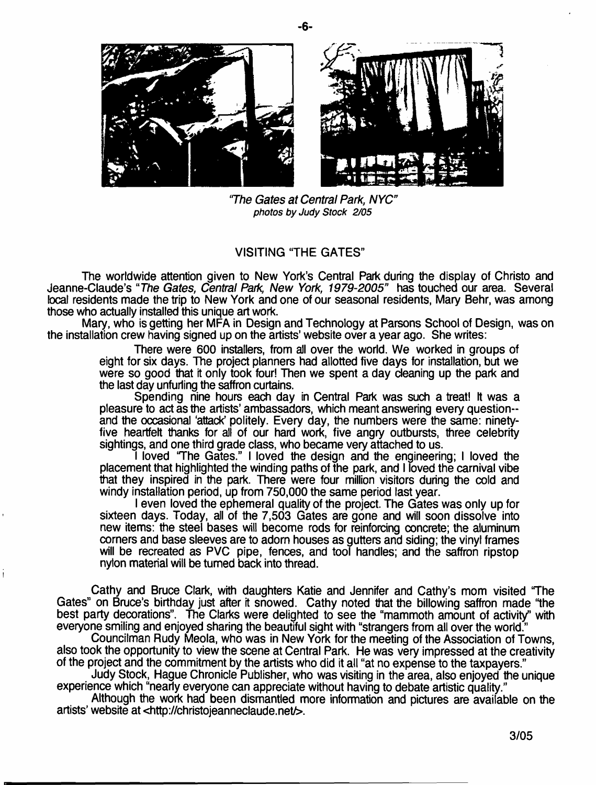

*'The Gates at Central Park, NYC*" *photos by Judy Stock 2/05*

## VISITING "THE GATES"

The worldwide attention given to New York's Central Park during the display of Christo and Jeanne-Claude's "The Gates, Central Park, New York, 1979-2005" has touched our area. Several local residents made the trip to New York and one of our seasonal residents, Mary Behr, was among those who actually installed this unique art work.

Mary, who is getting her MFA in Design and Technology at Parsons School of Design, was on the installation crew having signed up on the artists' website over a year ago. She writes:

> There were 600 installers, from all over the world. We worked in groups of eight for six days. The project planners had allotted five days for installation, but we were so good that it only took four! Then we spent a day cleaning up the park and the last day unfurling the saffron curtains.

> Spending nine hours each day in Central Park was such a treat! It was a pleasure to act as the artists' ambassadors, which meant answering every questionand the occasional 'attack' politely. Every day, the numbers were the same: ninetyfive heartfelt thanks for all of our hard work, five angry outbursts, three celebrity sightings, and one third grade class, who became very attached to us.

> I loved 'The Gates." I loved the design and the engineering; I loved the placement that highlighted the winding paths of the park, and I loved the carnival vibe that they inspired in the park. There were four million visitors during the cold and windy installation period, up from 750,000 the same period last year.

> I even loved the ephemeral quality of the project. The Gates was only up for sixteen days. Today, all of the 7,503 Gates are gone and will soon dissolve into new items: the steel bases will become rods for reinforcing concrete; the aluminum corners and base sleeves are to adorn houses as gutters and siding; the vinyl frames will be recreated as PVC pipe, fences, and tool handles; and the saffron ripstop nyton material will be turned back into thread.

Cathy and Bruce Clark, with daughters Katie and Jennifer and Cathy's mom visited 'The Gates" on Bruce's birthday just after it snowed. Cathy noted that the billowing saffron made "the best party decorations". The Clarks were delighted to see the "mammoth amount of activity" with everyone smiling and enjoyed sharing the beautiful sight with "strangers from all over the world."

i

Councilman Rudy Meola, who was in New York for the meeting of the Association of Towns, also took the opportunity to view the scene at Central Park. He was very impressed at the creativity of the project and the commitment by the artists who did it all "at no expense to the taxpayers."

Judy Stock, Hague Chronicle Publisher, who was visiting in the area, also enjoyed the unique experience which "nearly everyone can appreciate without having to debate artistic quality."

Although the work had been dismantled more information and pictures are available on the artists' website at [<http://christojeanneclaude.net/](http://christojeanneclaude.net/)>.

-6-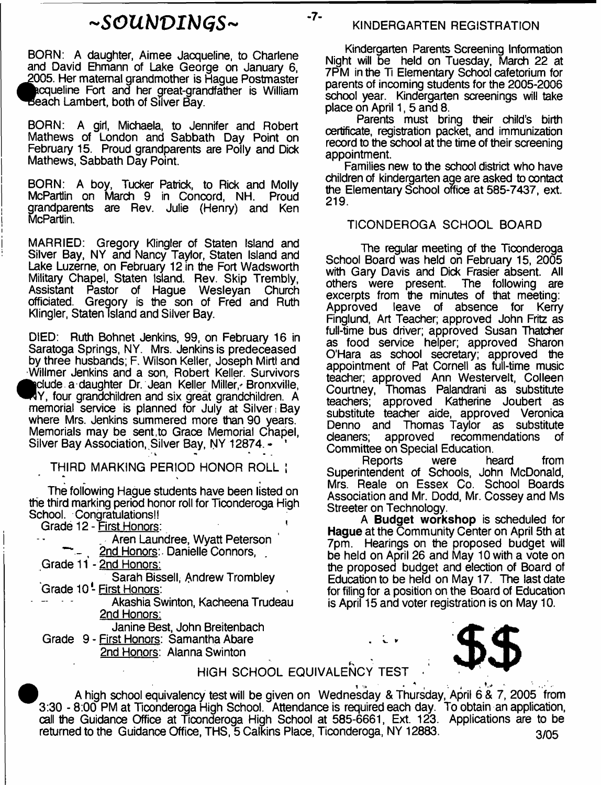# *~SOUbJVIb)GS~* -7-

BORN: A daughter, Aimee Jacqueline, to Charlene and David Ehmann of Lake George on January 6, 2005. Her maternal grandmother is Hague Postmaster ^kcqueline Fort and her great-grandfather is William ^Beach Lambert, both of Silver Bay.

BORN: A girl, Michaela, to Jennifer and Robert Mathews of London and Sabbath Day Point on February 15. Proud grandparents are Polly and Dick Mathews, Sabbath Day Point.

BORN: A boy, Tucker Patrick, to Rick and Molly McPartiin on March 9 in Concord, NH. Proud grandparents are Rev. Julie (Henry) and Ken McPartlin.

MARRIED: Gregory Klingler of Staten Island and Silver Bay, NY and Nancy Taylor, Staten Island and Lake Luzerne, on February 12 in the Fort Wadsworth Military Chapel, Staten Island. Rev. Skip Trembly, Assistant Pastor of Hague Wesleyan Church officiated. Gregory is the son of Fred and Ruth Klingler, Staten Island and Silver Bay.

DIED: Ruth Bohnet Jenkins, 99, on February 16 in Saratoga Springs, NY. Mrs. Jenkins is predeceased by three husbands; F. Wilson Keller, Joseph Mirtl and Willmer Jenkins and a son, Robert Keller. Survivors edude a daughter Dr. Jean Keller Miller, Bronxville, Y, four grandchildren and six great grandchildren. A memorial service is planned for July at Silver: Bay where Mrs. Jenkins summered more than 90 years. Memorials may be sent,to Grace Memorial Chapel, Silver Bay Association, Silver Bay, NY 12874. -

THIRD MARKING PERIOD HONOR ROLL J

The following Hague students have been listed on the third marking period honor roll for Ticonderoga High School. Congratulations!!

Grade 12 - First Honors:

| Aren Laundree, Wyatt Peterson          |
|----------------------------------------|
| 2nd Honors: Danielle Connors,          |
| Grade 11 - 2nd Honors:                 |
| Sarah Bissell, Andrew Trombley         |
| Grade 10 <sup>'</sup> - First Honors:  |
| Akashia Swinton, Kacheena Trudeau      |
| 2nd Honors:                            |
| Janine Best, John Breitenbach          |
| Grade 9 - First Honors: Samantha Abare |
| 2nd Honors: Alanna Swinton             |
|                                        |

#### KINDERGARTEN REGISTRATION

Kindergarten Parents Screening Information Night will be held on Tuesday, March 22 at 7PM in the Ti Elementary School cafetorium for parents of incoming students for the 2005-2006 school year. Kindergarten screenings will take place on April 1, 5 and 8.

Parents must bring their child's birth certificate, registration packet, and immunization record to the school at the time of their screening appointment.

Families new to the school district who have children of kindergarten age are asked to contact the Elementary School office at 585-7437, ext. 219.

# TICONDEROGA SCHOOL BOARD

The regular meeting of the Ticonderoga School Board was held on February 15, 2005 with Gary Davis and Dick Frasier absent. All<br>others were present. The following are others were present. excerpts from the minutes of that meeting:<br>Approved leave of absence for Kerry leave of absence for Kerry Finglund, Art Teacher; approved John Fritz as full-time bus driver; approved Susan Thatcher as food service helper; approved Sharon O'Hara as school secretary; approved the appointment of Pat Cornell as full-time music teacher; approved Ann Westervelt, Colleen Courtney, Thomas Palandrani as substitute teachers; approved Katherine Joubert as substitute teacher aide, approved Veronica Denno and Thomas Taylor as substitute cleaners; approved recommendations of Committee on Special Education.

Reports were heard from Superintendent of Schools, John McDonald, Mrs. Reale on Essex Co. School Boards Association and Mr. Dodd, Mr. Cossey and Ms Streeter on Technology.

A **Budget workshop** is scheduled for **Hague** at the Community Center on April 5th at 7pm. Hearings on the proposed budget will be held on April 26 and May 10 with a vote on the proposed budget and election of Board of Education to be held on May 17. The last date for filing for a position on the Board of Education is April 15 and voter registration is on May 10.

# HIGH SCHOOL EQUIVALENCY TEST *\$\$*

A high school equivalency test will be given on Wednesday & Thursday, April 6 & 7, 2005 from 3:30 - 8:00 PM at Ticonderoga High School. Attendance is required each day. To obtain an application, call the Guidance Office at Ticonderoga High School at 585-6661, Ext. 123. Applications are to be returned to the Guidance Office, THS,  $\overline{5}$  Calkins Place, Ticonderoga, NY 12883.  $\frac{3}{05}$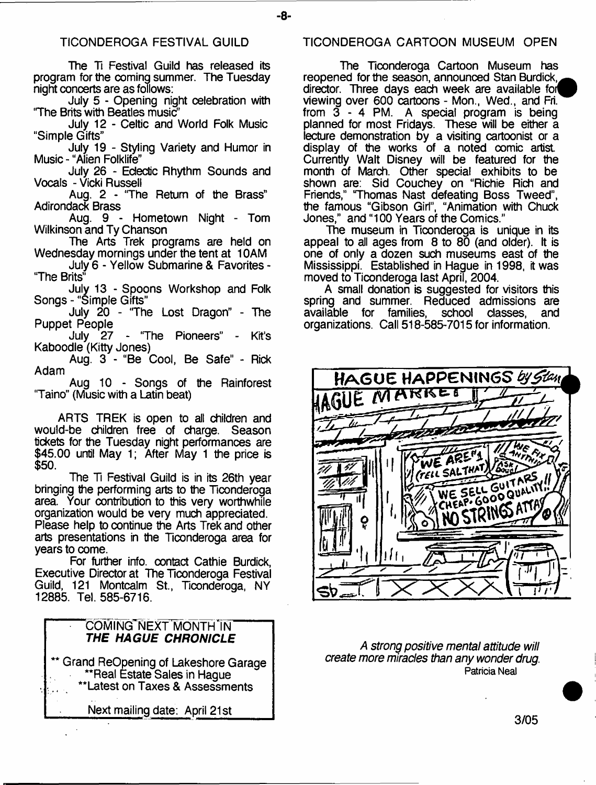The Ti Festival Guild has released its program for the coming summer. The Tuesday night concerts are as follows:

July 5 - Opening night celebration with 'The Brits with Beatles music?'

July 12 - Celtic and World Folk Music "Simple Gifts"

July 19 - Styling Variety and Humor in Music - "Alien Folklife"

July 26 - Eclectic Rhythm Sounds and Vocals - Vicki Russell

Aug. 2 - The Return of the Brass" Adirondack Brass

Aug. 9 - Hometown Night - Tom Wilkinson and Ty Chanson

The Arts Trek programs are held on Wednesday mornings under the tent at 10AM

July 6 - Yellow Submarine & Favorites - The Brits"

July 13 - Spoons Workshop and Folk Songs - "Simple Gifts"

July 20 - The Lost Dragon" - The Puppet People

July 27 - The Pioneers" - Kit's Kaboodle (Kitty Jones)

Aug. 3 - "Be Cool, Be Safe" - Rick Adam

Aug 10 - Songs of the Rainforest "Taino" (Music with a Latin beat)

ARTS TREK is open to all children and would-be children free of charge. Season tickets for the Tuesday night performances are \$45.00 until May 1; After May 1 the price is \$50.

The Ti Festival Guild is in its 26th year bringing the performing arts to the Ticonderoga area. Your contribution to this very worthwhile organization would be very much appreciated. Please help to continue the Arts Trek and other arts presentations in the Ticonderoga area for years to come.

For further info, contact Cathie Burdick, Executive Director at The Ticonderoga Festival Guild, 121 Montcalm St., Ticonderoga, NY 12885. Tel. 585-6716.

# COMING NEXT MONTH IN *THE HAGUE CHRONICLE* \*\* Grand ReOpening of Lakeshore Garage \*\*Real Estate Sales in Hague \*Latest on Taxes & Assessments

Next mailing date: April 21st\_\_\_\_\_

## TICONDEROGA FESTIVAL GUILD TICONDEROGA CARTOON MUSEUM OPEN

The Ticonderoga Cartoon Museum has reopened for the season, announced Stan Burdick, director. Three days each week are available for viewing over 600 cartoons - Mon., Wed., and Fri. from 3 - 4 PM. A special program is being planned for most Fridays. These will be either a lecture demonstration by a visiting cartoonist or a display of the works of a noted comic artist Currently Walt Disney will be featured for the month of March. Other special exhibits to be shown are: Sid Couchey on "Richie Rich and Friends," Thomas Nast defeating Boss Tweed", the famous "Gibson Girl", "Animation with Chuck Jones," and "100 Years of the Comics."

The museum in Ticonderoga is unique in its appeal to all ages from  $8$  to  $80$  (and older). It is one of only a dozen such museums east of the Mississippi. Established in Hague in 1998, it was moved to Ticonderoga last April, 2004.

A small donation is suggested for visitors this spring and summer. Reduced admissions are<br>available for families, school classes, and families, school organizations. Call 518-585-7015 for information.



*A strong positive mental attitude will create more miracles than any wonder drug.* **Patricia Neal**

-8-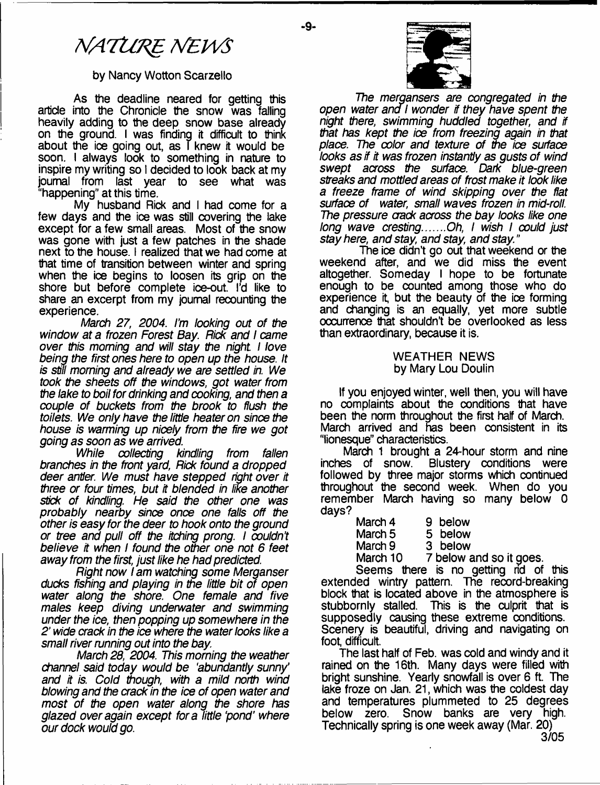# *NATtmg MEPVS*

# by Nancy Wotton Scarzello

As the deadline neared for getting this article into the Chronicle the snow was falling heavily adding to the deep snow base already on the ground. I was finding it difficult to think about the ice going out, as T knew it would be soon. I always look to something in nature to inspire my writing so I decided to look back at my journal from last year to see what was "happening" at this time.

My husband Rick and I had come for a few days and the ice was still covering the lake except for a few small areas. Most of the snow was gone with just a few patches in the shade next to the house. I realized that we had come at that time of transition between winter and spring when the ice begins to loosen its grip on the shore but before complete ice-out. I'd like to share an excerpt from my journal recounting the experience.

*March 27, 2004. I'm looking out of the window at a frozen Forest Bay. Rick and I came over this morning and will stay the night I love being the first ones here to open up the house. It is stifl morning and already we are settled in. We took the sheets off the windows, got water from the lake to boil for drinking and cooking, and then a couple of buckets from the brook to flush the toilets. We only have the little heater on since the house is warming up nicely from the fire we got going as soon as we arrived.*

*While collecting kindling from fallen branches in the front yard, Rick found a dropped deer antler. We must have stepped right over it three or four times, but it blended in like another stick of kindling. He said the other one was probably nearby since once one falls off the other is easy for the deer to hook onto the ground or tree and pull off the itching prong. I couldn't believe it when I found the other one not 6 feet away from the first, just like he had predicted.*

*Right now I am watching some Merganser ducks fishing and playing in the little bit of open water along the shore. One female and five males keep diving underwater and swimming under the ice, then popping up somewhere in the 2*' *wide crack in the ice where the water looks like a small river running out into the bay*

*March 28, 2004. This morning the weather channel said today would be 'abundantly sunny\* and it is. Cold though, with a mild north wind blowing and the crack in the ice of open water and most of the open water along the shore has glazed over again except fora little pond' where our dock would go.*



*The mergansers are congregated in the open water ana I wonder if they have spent the night there, swimming huddled together, and if that has kept the ice from freezing again in that place. The color and texture of the ice surface looks as if it was frozen instantly as gusts of wind swept across the surface. Dark blue-green streaks and mottled areas of frost make it look like a freeze frame of wind skipping over the flat surface of water, small waves frozen in mid-roll. The pressure crack across the bay looks like one long wave cresting.......Oh, I wish I could just stay here, and stay, and stay, and stay."*

The ice didn't go out that weekend or the weekend after, and we did miss the event altogether. Someday I hope to be fortunate enough to be counted among those who do experience it, but the beauty of the ice forming and changing is an equally, yet more subtle occurrence that shouldn't be overlooked as less than extraordinary, because it is.

#### WEATHER NEWS by Mary Lou Doulin

If you enjoyed winter, well then, you will have no complaints about the conditions that have been the norm throughout the first half of March. March arrived and nas been consistent in its "lionesque" characteristics.

March 1 brought a 24-hour storm and nine<br>inches of snow. Blustery conditions were Blustery conditions were followed by three major storms which continued throughout the second week. When do you remember March having so many below 0 days?

| March 4  | 9 below                 |
|----------|-------------------------|
| March 5  | 5 below                 |
| March 9  | 3 below                 |
| March 10 | 7 below and so it goes. |

Seems there is no getting rid of this extended wintry pattern. The record-breaking block that is located above in the atmosphere is stubbornly stalled. This is the culprit that is supposedly causing these extreme conditions. Scenery is beautiful, driving and navigating on foot, difficult.

The last half of Feb. was cold and windy and it rained on the 16th. Many days were filled with bright sunshine. Yearly snowfall is over 6 ft. The lake froze on Jan. 21, which was the coldest day and temperatures plummeted to 25 degrees below zero. Snow banks are very high. Technically spring is one week away (Mar. 20)